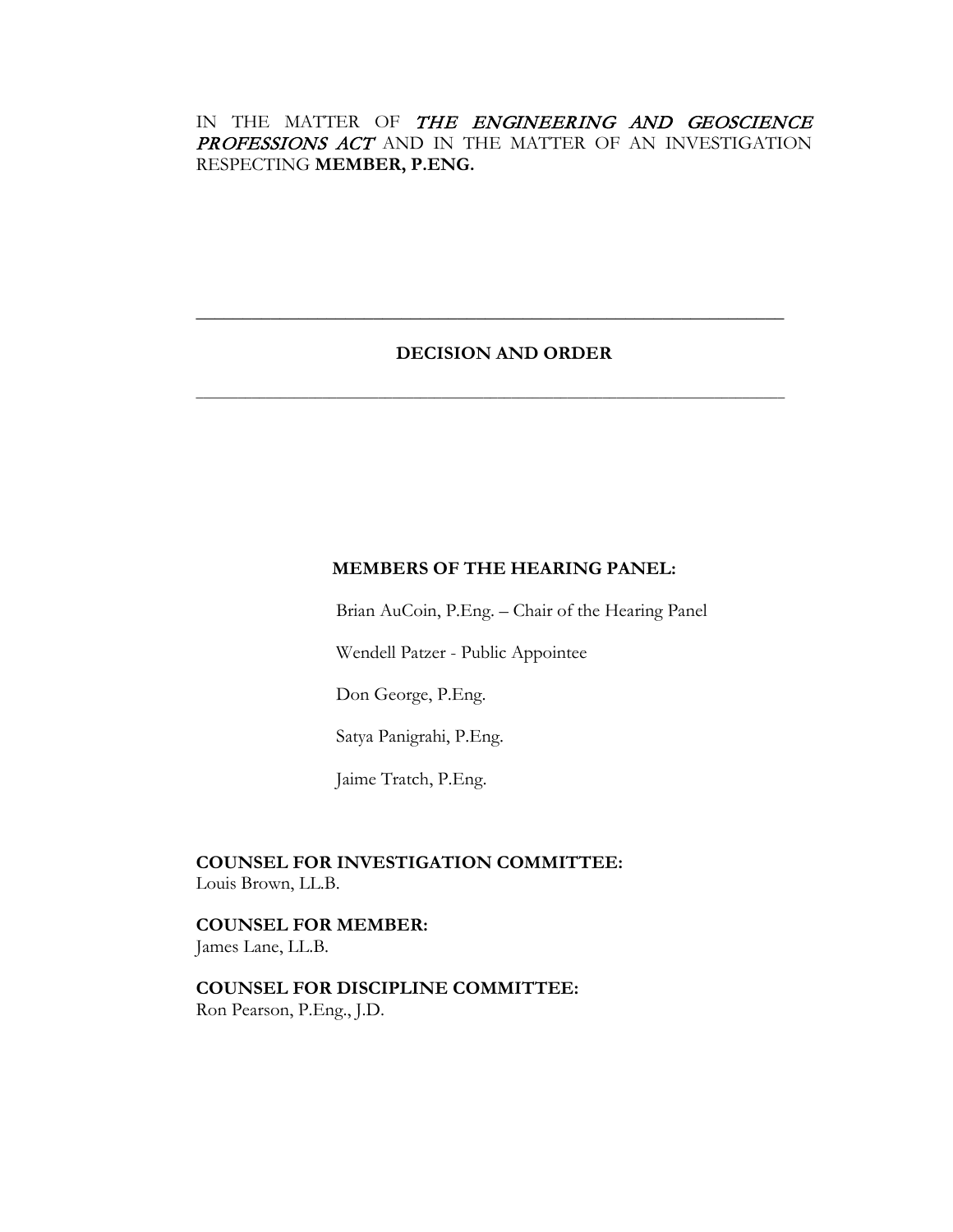## IN THE MATTER OF THE ENGINEERING AND GEOSCIENCE PROFESSIONS ACT AND IN THE MATTER OF AN INVESTIGATION RESPECTING **MEMBER, P.ENG.**

## **DECISION AND ORDER**

**\_\_\_\_\_\_\_\_\_\_\_\_\_\_\_\_\_\_\_\_\_\_\_\_\_\_\_\_\_\_\_\_\_\_\_\_\_\_\_\_\_\_\_\_\_\_\_\_\_\_\_\_\_\_\_\_\_\_\_\_\_\_\_**

**\_\_\_\_\_\_\_\_\_\_\_\_\_\_\_\_\_\_\_\_\_\_\_\_\_\_\_\_\_\_\_\_\_\_\_\_\_\_\_\_\_\_\_\_\_\_\_\_\_\_\_\_\_\_\_\_\_\_\_\_\_\_\_\_\_\_\_\_\_\_\_\_\_\_\_\_\_\_\_\_\_\_\_\_**

# **MEMBERS OF THE HEARING PANEL:**

Brian AuCoin, P.Eng. – Chair of the Hearing Panel

Wendell Patzer - Public Appointee

Don George, P.Eng.

Satya Panigrahi, P.Eng.

Jaime Tratch, P.Eng.

**COUNSEL FOR INVESTIGATION COMMITTEE:** Louis Brown, LL.B.

**COUNSEL FOR MEMBER:** James Lane, LL.B.

**COUNSEL FOR DISCIPLINE COMMITTEE:** Ron Pearson, P.Eng., J.D.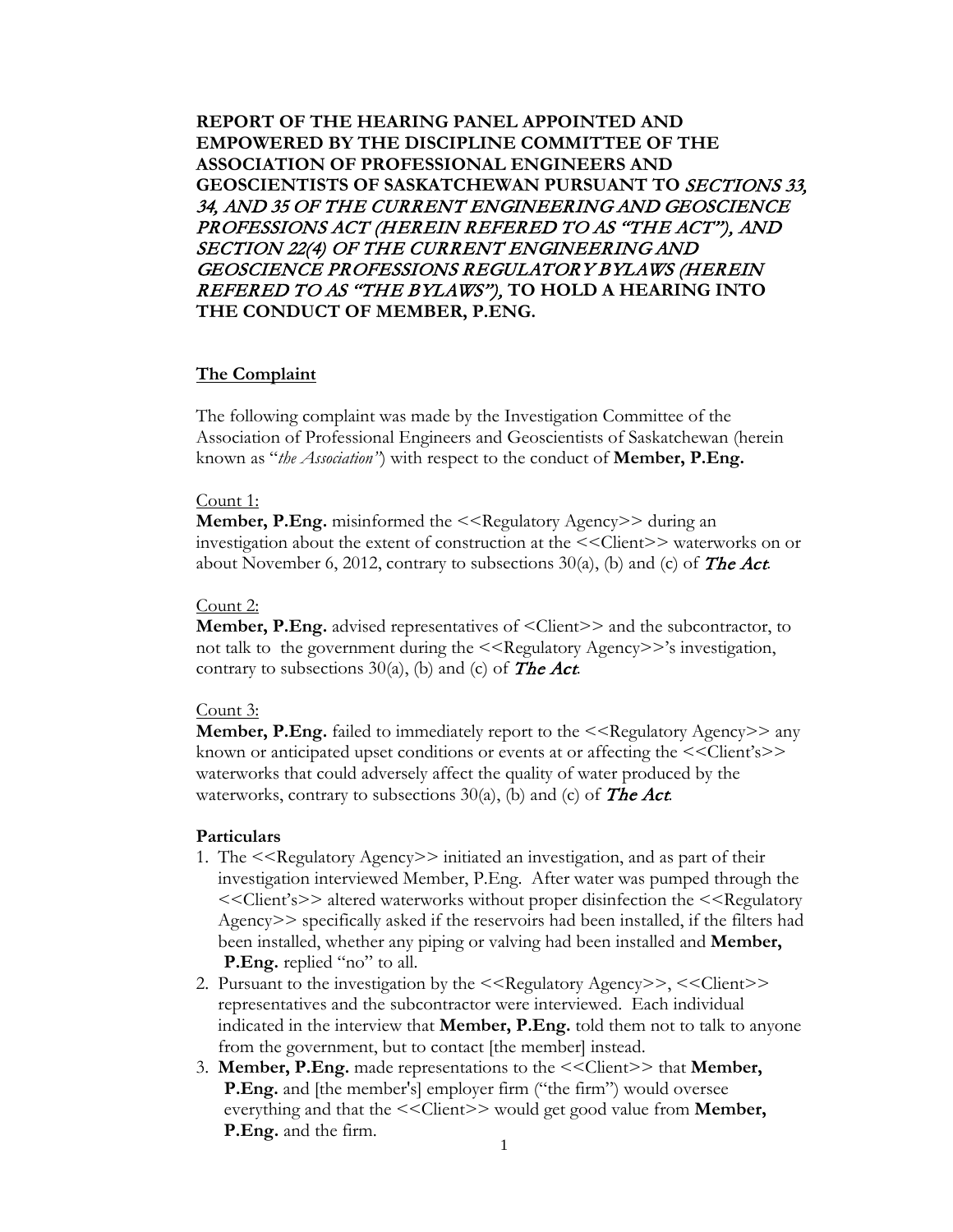**REPORT OF THE HEARING PANEL APPOINTED AND EMPOWERED BY THE DISCIPLINE COMMITTEE OF THE ASSOCIATION OF PROFESSIONAL ENGINEERS AND GEOSCIENTISTS OF SASKATCHEWAN PURSUANT TO** SECTIONS 33, 34, AND 35 OF THE CURRENT ENGINEERING AND GEOSCIENCE PROFESSIONS ACT (HEREIN REFERED TO AS "THE ACT"), AND SECTION 22(4) OF THE CURRENT ENGINEERING AND GEOSCIENCE PROFESSIONS REGULATORY BYLAWS (HEREIN REFERED TO AS "THE BYLAWS"), **TO HOLD A HEARING INTO THE CONDUCT OF MEMBER, P.ENG.**

### **The Complaint**

The following complaint was made by the Investigation Committee of the Association of Professional Engineers and Geoscientists of Saskatchewan (herein known as "*the Association"*) with respect to the conduct of **Member, P.Eng.**

#### Count 1:

**Member, P.Eng.** misinformed the <<Regulatory Agency>> during an investigation about the extent of construction at the <<Client>> waterworks on or about November 6, 2012, contrary to subsections  $30(a)$ , (b) and (c) of The Act.

### Count 2:

**Member, P.Eng.** advised representatives of  $\leq$ Client $\geq$  and the subcontractor, to not talk to the government during the  $\leq$ Regulatory Agency>>'s investigation, contrary to subsections  $30(a)$ , (b) and (c) of **The Act**.

### Count 3:

**Member, P.Eng.** failed to immediately report to the  $\leq$ Regulatory Agency>> any known or anticipated upset conditions or events at or affecting the <<Client's>> waterworks that could adversely affect the quality of water produced by the waterworks, contrary to subsections  $30(a)$ , (b) and (c) of **The Act**.

### **Particulars**

- 1. The <<Regulatory Agency>> initiated an investigation, and as part of their investigation interviewed Member, P.Eng. After water was pumped through the <<Client's>> altered waterworks without proper disinfection the <<Regulatory Agency>> specifically asked if the reservoirs had been installed, if the filters had been installed, whether any piping or valving had been installed and **Member, P.Eng.** replied "no" to all.
- 2. Pursuant to the investigation by the  $\leq$ Regulatory Agency>>,  $\leq$ Client>> representatives and the subcontractor were interviewed. Each individual indicated in the interview that **Member, P.Eng.** told them not to talk to anyone from the government, but to contact [the member] instead.
- 3. **Member, P.Eng.** made representations to the <<Client>> that **Member, P.Eng.** and [the member's] employer firm ("the firm") would oversee everything and that the  $<<$ Client>> would get good value from **Member, P.Eng.** and the firm.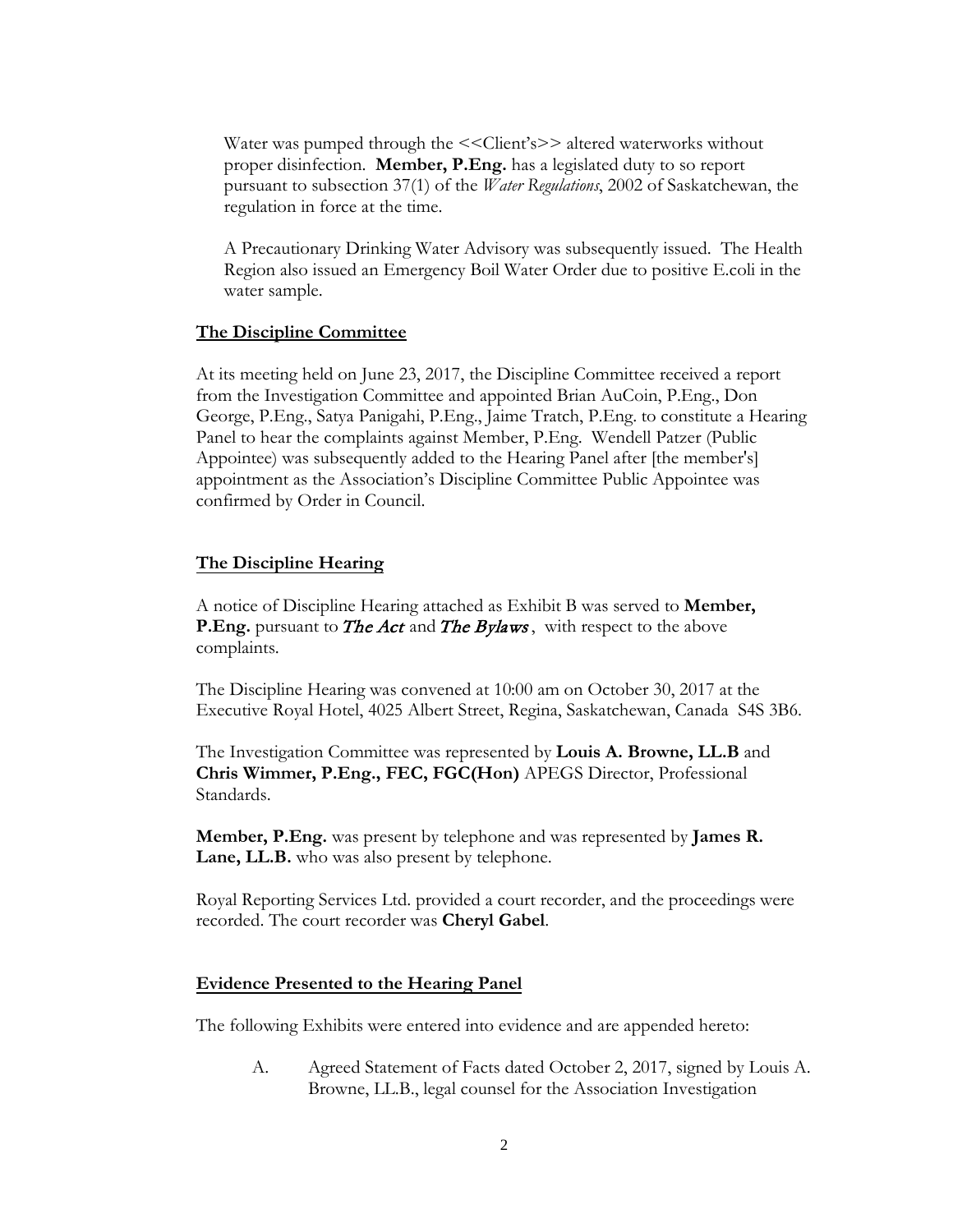Water was pumped through the  $<<$ Client's>> altered waterworks without proper disinfection. **Member, P.Eng.** has a legislated duty to so report pursuant to subsection 37(1) of the *Water Regulations*, 2002 of Saskatchewan, the regulation in force at the time.

A Precautionary Drinking Water Advisory was subsequently issued. The Health Region also issued an Emergency Boil Water Order due to positive E.coli in the water sample.

### **The Discipline Committee**

At its meeting held on June 23, 2017, the Discipline Committee received a report from the Investigation Committee and appointed Brian AuCoin, P.Eng., Don George, P.Eng., Satya Panigahi, P.Eng., Jaime Tratch, P.Eng. to constitute a Hearing Panel to hear the complaints against Member, P.Eng. Wendell Patzer (Public Appointee) was subsequently added to the Hearing Panel after [the member's] appointment as the Association's Discipline Committee Public Appointee was confirmed by Order in Council.

### **The Discipline Hearing**

A notice of Discipline Hearing attached as Exhibit B was served to **Member, P.Eng.** pursuant to *The Act* and *The Bylaws*, with respect to the above complaints.

The Discipline Hearing was convened at 10:00 am on October 30, 2017 at the Executive Royal Hotel, 4025 Albert Street, Regina, Saskatchewan, Canada S4S 3B6.

The Investigation Committee was represented by **Louis A. Browne, LL.B** and **Chris Wimmer, P.Eng., FEC, FGC(Hon)** APEGS Director, Professional Standards.

**Member, P.Eng.** was present by telephone and was represented by **James R. Lane, LL.B.** who was also present by telephone.

Royal Reporting Services Ltd. provided a court recorder, and the proceedings were recorded. The court recorder was **Cheryl Gabel**.

### **Evidence Presented to the Hearing Panel**

The following Exhibits were entered into evidence and are appended hereto:

A. Agreed Statement of Facts dated October 2, 2017, signed by Louis A. Browne, LL.B., legal counsel for the Association Investigation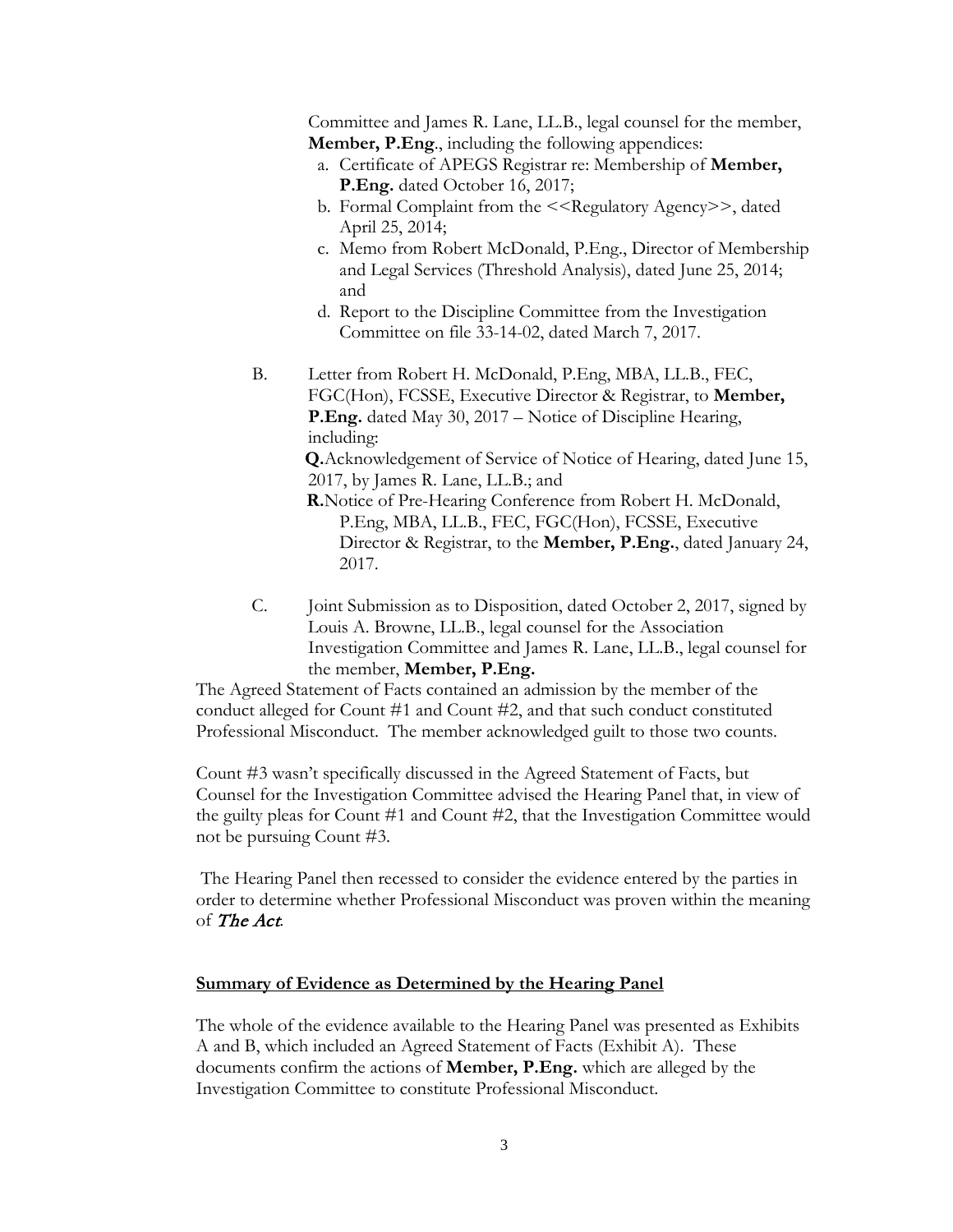Committee and James R. Lane, LL.B., legal counsel for the member, **Member, P.Eng**., including the following appendices:

- a. Certificate of APEGS Registrar re: Membership of **Member, P.Eng.** dated October 16, 2017;
- b. Formal Complaint from the <<Regulatory Agency>>, dated April 25, 2014;
- c. Memo from Robert McDonald, P.Eng., Director of Membership and Legal Services (Threshold Analysis), dated June 25, 2014; and
- d. Report to the Discipline Committee from the Investigation Committee on file 33-14-02, dated March 7, 2017.
- B. Letter from Robert H. McDonald, P.Eng, MBA, LL.B., FEC, FGC(Hon), FCSSE, Executive Director & Registrar, to **Member, P.Eng.** dated May 30, 2017 – Notice of Discipline Hearing, including:

**Q.**Acknowledgement of Service of Notice of Hearing, dated June 15, 2017, by James R. Lane, LL.B.; and

**R.**Notice of Pre-Hearing Conference from Robert H. McDonald, P.Eng, MBA, LL.B., FEC, FGC(Hon), FCSSE, Executive Director & Registrar, to the **Member, P.Eng.**, dated January 24, 2017.

C. Joint Submission as to Disposition, dated October 2, 2017, signed by Louis A. Browne, LL.B., legal counsel for the Association Investigation Committee and James R. Lane, LL.B., legal counsel for the member, **Member, P.Eng.**

The Agreed Statement of Facts contained an admission by the member of the conduct alleged for Count #1 and Count #2, and that such conduct constituted Professional Misconduct. The member acknowledged guilt to those two counts.

Count #3 wasn't specifically discussed in the Agreed Statement of Facts, but Counsel for the Investigation Committee advised the Hearing Panel that, in view of the guilty pleas for Count #1 and Count #2, that the Investigation Committee would not be pursuing Count #3.

The Hearing Panel then recessed to consider the evidence entered by the parties in order to determine whether Professional Misconduct was proven within the meaning of The Act.

### **Summary of Evidence as Determined by the Hearing Panel**

The whole of the evidence available to the Hearing Panel was presented as Exhibits A and B, which included an Agreed Statement of Facts (Exhibit A). These documents confirm the actions of **Member, P.Eng.** which are alleged by the Investigation Committee to constitute Professional Misconduct.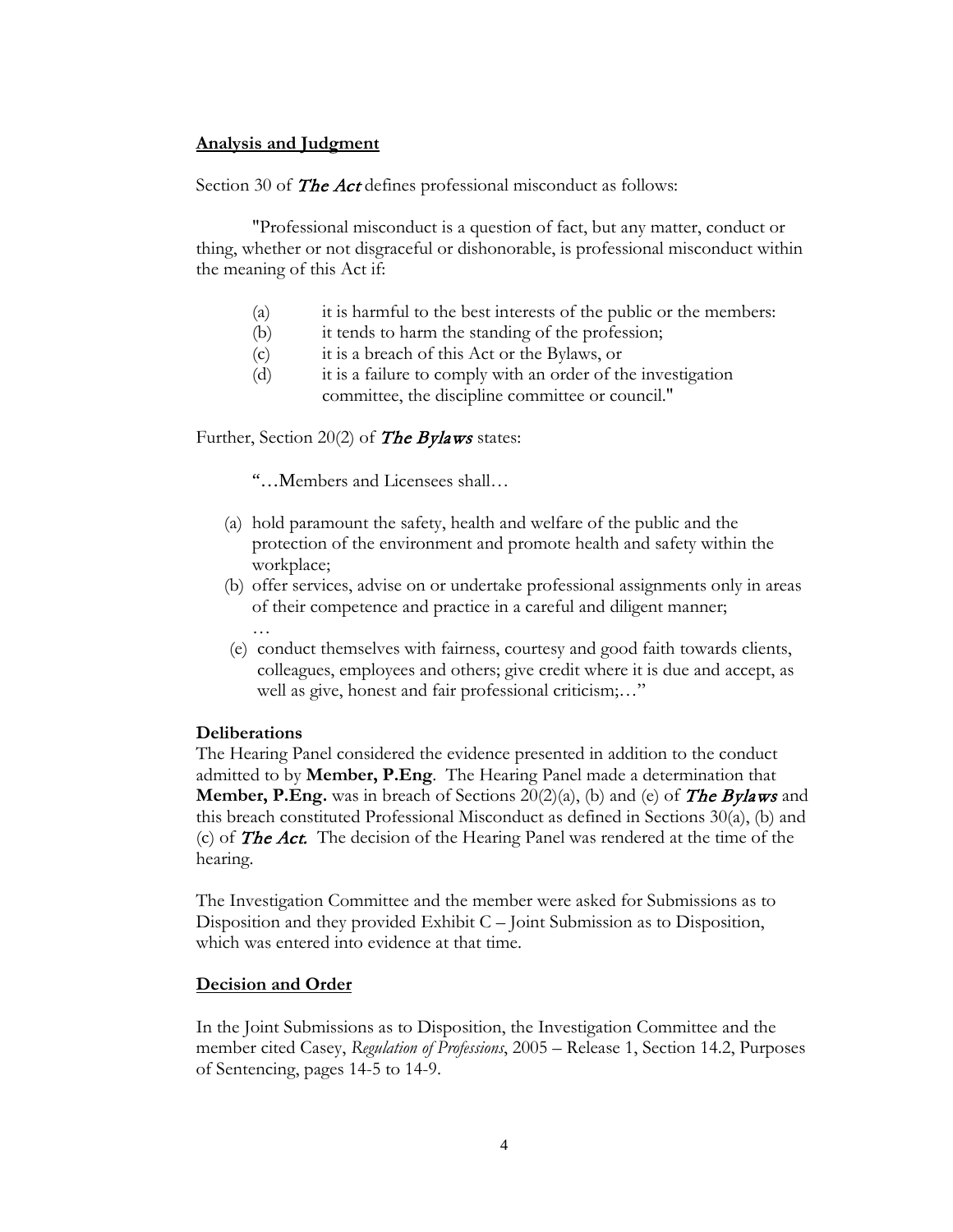### **Analysis and Judgment**

Section 30 of **The Act** defines professional misconduct as follows:

"Professional misconduct is a question of fact, but any matter, conduct or thing, whether or not disgraceful or dishonorable, is professional misconduct within the meaning of this Act if:

- (a) it is harmful to the best interests of the public or the members:
- (b) it tends to harm the standing of the profession;
- (c) it is a breach of this Act or the Bylaws, or
- (d) it is a failure to comply with an order of the investigation committee, the discipline committee or council."

Further, Section 20(2) of **The Bylaws** states:

"…Members and Licensees shall…

- (a) hold paramount the safety, health and welfare of the public and the protection of the environment and promote health and safety within the workplace;
- (b) offer services, advise on or undertake professional assignments only in areas of their competence and practice in a careful and diligent manner; …
- (e) conduct themselves with fairness, courtesy and good faith towards clients, colleagues, employees and others; give credit where it is due and accept, as well as give, honest and fair professional criticism;…"

#### **Deliberations**

The Hearing Panel considered the evidence presented in addition to the conduct admitted to by **Member, P.Eng**. The Hearing Panel made a determination that **Member, P.Eng.** was in breach of Sections 20(2)(a), (b) and (e) of **The Bylaws** and this breach constituted Professional Misconduct as defined in Sections 30(a), (b) and (c) of **The Act.** The decision of the Hearing Panel was rendered at the time of the hearing.

The Investigation Committee and the member were asked for Submissions as to Disposition and they provided Exhibit C – Joint Submission as to Disposition, which was entered into evidence at that time.

#### **Decision and Order**

In the Joint Submissions as to Disposition, the Investigation Committee and the member cited Casey, *Regulation of Professions*, 2005 – Release 1, Section 14.2, Purposes of Sentencing, pages 14-5 to 14-9.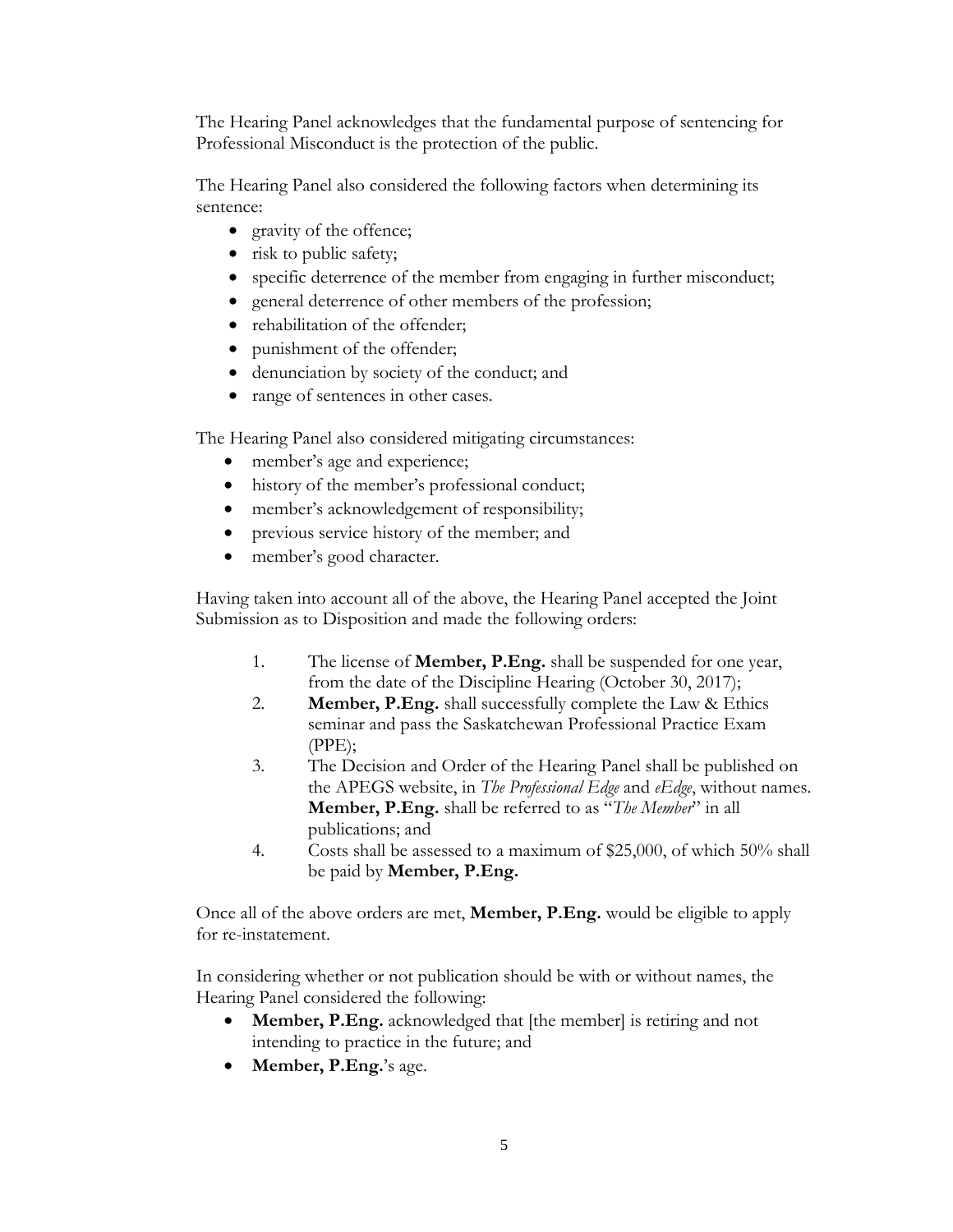The Hearing Panel acknowledges that the fundamental purpose of sentencing for Professional Misconduct is the protection of the public.

The Hearing Panel also considered the following factors when determining its sentence:

- gravity of the offence;
- risk to public safety;
- specific deterrence of the member from engaging in further misconduct;
- general deterrence of other members of the profession;
- rehabilitation of the offender;
- punishment of the offender;
- denunciation by society of the conduct; and
- range of sentences in other cases.

The Hearing Panel also considered mitigating circumstances:

- member's age and experience;
- history of the member's professional conduct;
- member's acknowledgement of responsibility;
- previous service history of the member; and
- member's good character.

Having taken into account all of the above, the Hearing Panel accepted the Joint Submission as to Disposition and made the following orders:

- 1. The license of **Member, P.Eng.** shall be suspended for one year, from the date of the Discipline Hearing (October 30, 2017);
- 2. **Member, P.Eng.** shall successfully complete the Law & Ethics seminar and pass the Saskatchewan Professional Practice Exam (PPE);
- 3. The Decision and Order of the Hearing Panel shall be published on the APEGS website, in *The Professional Edge* and *eEdge*, without names. **Member, P.Eng.** shall be referred to as "*The Member*" in all publications; and
- 4. Costs shall be assessed to a maximum of \$25,000, of which 50% shall be paid by **Member, P.Eng.**

Once all of the above orders are met, **Member, P.Eng.** would be eligible to apply for re-instatement.

In considering whether or not publication should be with or without names, the Hearing Panel considered the following:

- **Member, P.Eng.** acknowledged that [the member] is retiring and not intending to practice in the future; and
- **Member, P.Eng.**'s age.